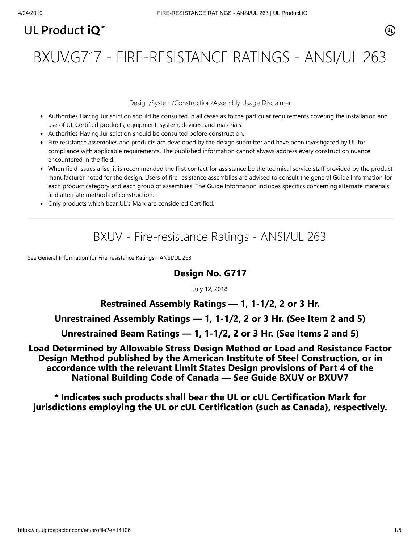# UL Product iQ<sup>™</sup>

# BXUV.G717 - FIRE-RESISTANCE RATINGS - ANSI/UL 263

#### Design/System/Construction/Assembly Usage Disclaimer

- Authorities Having Jurisdiction should be consulted in all cases as to the particular requirements covering the installation and use of UL Certified products, equipment, system, devices, and materials.
- Authorities Having Jurisdiction should be consulted before construction.
- Fire resistance assemblies and products are developed by the design submitter and have been investigated by UL for compliance with applicable requirements. The published information cannot always address every construction nuance encountered in the field.
- When field issues arise, it is recommended the first contact for assistance be the technical service staff provided by the product manufacturer noted for the design. Users of fire resistance assemblies are advised to consult the general Guide Information for each product category and each group of assemblies. The Guide Information includes specifics concerning alternate materials and alternate methods of construction.
- Only products which bear UL's Mark are considered Certified.

# BXUV - Fire-resistance Ratings - ANSI/UL 263

[See General Information for Fire-resistance Ratings - ANSI/UL 263](https://iq.ulprospector.com/cgi-bin/XYV/template/LISEXT/1FRAME/showpage.html?&name=BXUV.GuideInfo&ccnshorttitle=Fire-resistance+Ratings+-+ANSI/UL+263&objid=1074327030&cfgid=1073741824&version=versionless&parent_id=1073984818&sequence=1)

### **Design No. G717**

July 12, 2018

## **Restrained Assembly Ratings — 1, 1-1/2, 2 or 3 Hr.**

#### **Unrestrained Assembly Ratings — 1, 1-1/2, 2 or 3 Hr. (See Item 2 and 5)**

#### **Unrestrained Beam Ratings — 1, 1-1/2, 2 or 3 Hr. (See Items 2 and 5)**

**Load Determined by Allowable Stress Design Method or Load and Resistance Factor Design Method published by the American Institute of Steel Construction, or in accordance with the relevant Limit States Design provisions of Part 4 of the National Building Code of Canada — See Guide [BXUV](https://database.ul.com/cgi-bin/XYV/template/LISEXT/1FRAME/showpage.html?name=BXUV.GuideInfo&ccnshorttitle=Fire-resistance+Ratings+-+ANSI/UL+263&objid=1074327030&cfgid=1073741824&version=versionless&parent_id=1073984818&sequence=1) or [BXUV7](https://database.ul.com/cgi-bin/XYV/template/LISEXT/1FRAME/showpage.html?name=BXUV7.GuideInfo&ccnshorttitle=Fire+Resistance+Ratings+-+CAN/ULC-S101M+Certified+for+Canada&objid=1074205658&cfgid=1073741824&version=versionless&parent_id=1073984820&sequence=1)**

**\* Indicates such products shall bear the UL or cUL Certification Mark for jurisdictions employing the UL or cUL Certification (such as Canada), respectively.**

⁄ඔ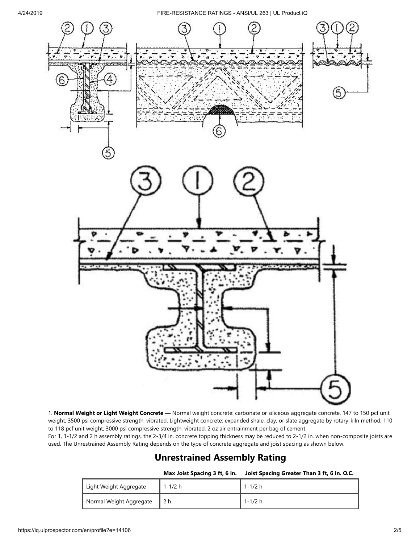4/24/2019 FIRE-RESISTANCE RATINGS - ANSI/UL 263 | UL Product iQ



1. **Normal Weight or Light Weight Concrete —** Normal weight concrete: carbonate or siliceous aggregate concrete, 147 to 150 pcf unit weight, 3500 psi compressive strength, vibrated. Lightweight concrete: expanded shale, clay, or slate aggregate by rotary-kiln method, 110 to 118 pcf unit weight, 3000 psi compressive strength, vibrated, 2 oz air entrainment per bag of cement.

For 1, 1-1/2 and 2 h assembly ratings, the 2-3/4 in. concrete topping thickness may be reduced to 2-1/2 in. when non-composite joists are used. The Unrestrained Assembly Rating depends on the type of concrete aggregate and joist spacing as shown below.

#### **Unrestrained Assembly Rating**

**Max Joist Spacing 3 ft, 6 in. Joist Spacing Greater Than 3 ft, 6 in. O.C.**

| Light Weight Aggregate  | 1-1/2 h | 1-1/2 h |
|-------------------------|---------|---------|
| Normal Weight Aggregate |         | 1-1/2 h |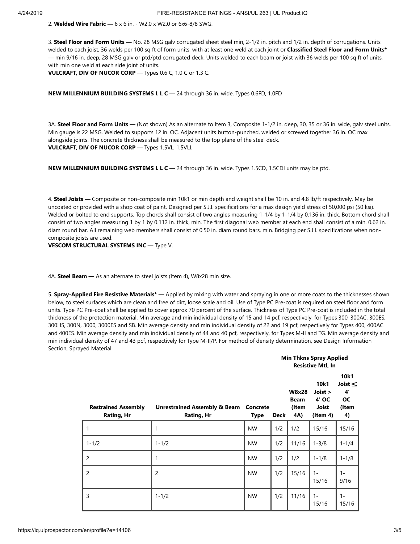2. **Welded Wire Fabric —** 6 x 6 in. - W2.0 x W2.0 or 6x6-8/8 SWG.

3. **Steel Floor and Form Units —** No. 28 MSG galv corrugated sheet steel min, 2-1/2 in. pitch and 1/2 in. depth of corrugations. Units welded to each joist, 36 welds per 100 sq ft of form units, with at least one weld at each joint or **Classified Steel Floor and Form Units\*** — min 9/16 in. deep, 28 MSG galv or ptd/ptd corrugated deck. Units welded to each beam or joist with 36 welds per 100 sq ft of units, with min one weld at each side joint of units.

**VULCRAFT, DIV OF NUCOR CORP** — Types 0.6 C, 1.0 C or 1.3 C.

#### **NEW MILLENNIUM BUILDING SYSTEMS L L C** — 24 through 36 in. wide, Types 0.6FD, 1.0FD

3A. **Steel Floor and Form Units —** (Not shown) As an alternate to Item 3, Composite 1-1/2 in. deep, 30, 35 or 36 in. wide, galv steel units. Min gauge is 22 MSG. Welded to supports 12 in. OC. Adjacent units button-punched, welded or screwed together 36 in. OC max alongside joints. The concrete thickness shall be measured to the top plane of the steel deck. **VULCRAFT, DIV OF NUCOR CORP** — Types 1.5VL, 1.5VLI.

**NEW MILLENNIUM BUILDING SYSTEMS L L C** — 24 through 36 in. wide, Types 1.5CD, 1.5CDI units may be ptd.

4. **Steel Joists —** Composite or non-composite min 10k1 or min depth and weight shall be 10 in. and 4.8 lb/ft respectively. May be uncoated or provided with a shop coat of paint. Designed per S.J.I. specifications for a max design yield stress of 50,000 psi (50 ksi). Welded or bolted to end supports. Top chords shall consist of two angles measuring 1-1/4 by 1-1/4 by 0.136 in. thick. Bottom chord shall consist of two angles measuring 1 by 1 by 0.112 in. thick, min. The first diagonal web member at each end shall consist of a min. 0.62 in. diam round bar. All remaining web members shall consist of 0.50 in. diam round bars, min. Bridging per S.J.I. specifications when noncomposite joists are used.

**VESCOM STRUCTURAL SYSTEMS INC** — Type V.

4A. **Steel Beam —** As an alternate to steel joists (Item 4), W8x28 min size.

5. **Spray-Applied Fire Resistive Materials\* —** Applied by mixing with water and spraying in one or more coats to the thicknesses shown below, to steel surfaces which are clean and free of dirt, loose scale and oil. Use of Type PC Pre-coat is required on steel floor and form units. Type PC Pre-coat shall be applied to cover approx 70 percent of the surface. Thickness of Type PC Pre-coat is included in the total thickness of the protection material. Min average and min individual density of 15 and 14 pcf, respectively, for Types 300, 300AC, 300ES, 300HS, 300N, 3000, 3000ES and SB. Min average density and min individual density of 22 and 19 pcf, respectively for Types 400, 400AC and 400ES. Min average density and min individual density of 44 and 40 pcf, respectively, for Types M-II and TG. Min average density and min individual density of 47 and 43 pcf, respectively for Type M-II/P. For method of density determination, see Design Information Section, Sprayed Material.

|                                                 |                                                       |                  |      | <b>Min Thkns Spray Applied</b><br><b>Resistive Mtl, In</b> |                                               |                                                          |  |
|-------------------------------------------------|-------------------------------------------------------|------------------|------|------------------------------------------------------------|-----------------------------------------------|----------------------------------------------------------|--|
| <b>Restrained Assembly</b><br><b>Rating, Hr</b> | <b>Unrestrained Assembly &amp; Beam</b><br>Rating, Hr | Concrete<br>Type | Deck | <b>W8x28</b><br><b>Beam</b><br>(Item<br>4A)                | 10k1<br>Joist ><br>4' OC<br>Joist<br>(ltem 4) | 10k1<br>Joist $\leq$<br>$4^{\circ}$<br>OС<br>(Item<br>4) |  |
| 1                                               | 1                                                     | <b>NW</b>        | 1/2  | 1/2                                                        | 15/16                                         | 15/16                                                    |  |
| $1 - 1/2$                                       | $1 - 1/2$                                             | <b>NW</b>        | 1/2  | 11/16                                                      | $1 - 3/8$                                     | $1 - 1/4$                                                |  |
| 2                                               | 1                                                     | <b>NW</b>        | 1/2  | 1/2                                                        | $1 - 1/8$                                     | $1 - 1/8$                                                |  |
| $\overline{c}$                                  | $\overline{c}$                                        | <b>NW</b>        | 1/2  | 15/16                                                      | $1 -$<br>15/16                                | $1 -$<br>9/16                                            |  |
| 3                                               | $1 - 1/2$                                             | <b>NW</b>        | 1/2  | 11/16                                                      | $1 -$<br>15/16                                | $1 -$<br>15/16                                           |  |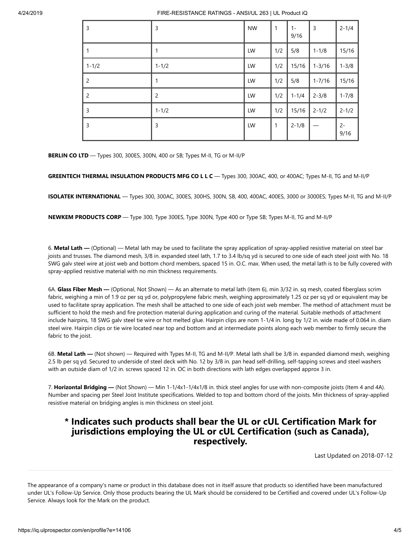| 3         | 3              | <b>NW</b> | $\overline{1}$ | $1 -$<br>9/16 | 3          | $2 - 1/4$     |
|-----------|----------------|-----------|----------------|---------------|------------|---------------|
| 1         | 1              | LW        | 1/2            | 5/8           | $1 - 1/8$  | 15/16         |
| $1 - 1/2$ | $1 - 1/2$      | LW        | 1/2            | 15/16         | $1 - 3/16$ | $1 - 3/8$     |
| 2         | 1              | LW        | 1/2            | 5/8           | $1 - 7/16$ | 15/16         |
| 2         | $\overline{2}$ | LW        | 1/2            | $1 - 1/4$     | $2 - 3/8$  | $1 - 7/8$     |
| 3         | $1 - 1/2$      | LW        | 1/2            | 15/16         | $2 - 1/2$  | $2 - 1/2$     |
| 3         | 3              | LW        | $\overline{1}$ | $2 - 1/8$     |            | $2 -$<br>9/16 |

**BERLIN CO LTD** — Types 300, 300ES, 300N, 400 or SB; Types M-II, TG or M-II/P

**GREENTECH THERMAL INSULATION PRODUCTS MFG CO L L C** — Types 300, 300AC, 400, or 400AC; Types M-II, TG and M-II/P

**ISOLATEK INTERNATIONAL** — Types 300, 300AC, 300ES, 300HS, 300N, SB, 400, 400AC, 400ES, 3000 or 3000ES; Types M-II, TG and M-II/P

**NEWKEM PRODUCTS CORP** — Type 300, Type 300ES, Type 300N, Type 400 or Type SB; Types M-II, TG and M-II/P

6. **Metal Lath —** (Optional) — Metal lath may be used to facilitate the spray application of spray-applied resistive material on steel bar joists and trusses. The diamond mesh, 3/8 in. expanded steel lath, 1.7 to 3.4 lb/sq yd is secured to one side of each steel joist with No. 18 SWG galv steel wire at joist web and bottom chord members, spaced 15 in. O.C. max. When used, the metal lath is to be fully covered with spray-applied resistive material with no min thickness requirements.

6A. **Glass Fiber Mesh —** (Optional, Not Shown) — As an alternate to metal lath (item 6), min 3/32 in. sq mesh, coated fiberglass scrim fabric, weighing a min of 1.9 oz per sq yd or, polypropylene fabric mesh, weighing approximately 1.25 oz per sq yd or equivalent may be used to facilitate spray application. The mesh shall be attached to one side of each joist web member. The method of attachment must be sufficient to hold the mesh and fire protection material during application and curing of the material. Suitable methods of attachment include hairpins, 18 SWG galv steel tie wire or hot melted glue. Hairpin clips are nom 1-1/4 in. long by 1/2 in. wide made of 0.064 in. diam steel wire. Hairpin clips or tie wire located near top and bottom and at intermediate points along each web member to firmly secure the fabric to the joist.

6B. **Metal Lath —** (Not shown) — Required with Types M-II, TG and M-II/P. Metal lath shall be 3/8 in. expanded diamond mesh, weighing 2.5 lb per sq yd. Secured to underside of steel deck with No. 12 by 3/8 in. pan head self-drilling, self-tapping screws and steel washers with an outside diam of 1/2 in. screws spaced 12 in. OC in both directions with lath edges overlapped approx 3 in.

7. **Horizontal Bridging —** (Not Shown) — Min 1-1/4x1-1/4x1/8 in. thick steel angles for use with non-composite joists (Item 4 and 4A). Number and spacing per Steel Joist Institute specifications. Welded to top and bottom chord of the joists. Min thickness of spray-applied resistive material on bridging angles is min thickness on steel joist.

#### **\* Indicates such products shall bear the UL or cUL Certification Mark for jurisdictions employing the UL or cUL Certification (such as Canada), respectively.**

[Last Updated](javascript:openit() on 2018-07-12

The appearance of a company's name or product in this database does not in itself assure that products so identified have been manufactured under UL's Follow-Up Service. Only those products bearing the UL Mark should be considered to be Certified and covered under UL's Follow-Up Service. Always look for the Mark on the product.